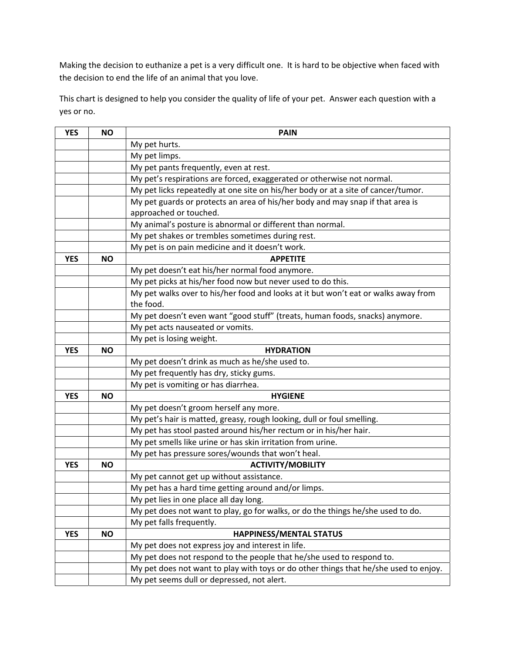Making the decision to euthanize a pet is a very difficult one. It is hard to be objective when faced with the decision to end the life of an animal that you love.

This chart is designed to help you consider the quality of life of your pet. Answer each question with a yes or no.

| <b>YES</b> | <b>NO</b> | <b>PAIN</b>                                                                          |
|------------|-----------|--------------------------------------------------------------------------------------|
|            |           | My pet hurts.                                                                        |
|            |           | My pet limps.                                                                        |
|            |           | My pet pants frequently, even at rest.                                               |
|            |           | My pet's respirations are forced, exaggerated or otherwise not normal.               |
|            |           | My pet licks repeatedly at one site on his/her body or at a site of cancer/tumor.    |
|            |           | My pet guards or protects an area of his/her body and may snap if that area is       |
|            |           | approached or touched.                                                               |
|            |           | My animal's posture is abnormal or different than normal.                            |
|            |           | My pet shakes or trembles sometimes during rest.                                     |
|            |           | My pet is on pain medicine and it doesn't work.                                      |
| <b>YES</b> | <b>NO</b> | <b>APPETITE</b>                                                                      |
|            |           | My pet doesn't eat his/her normal food anymore.                                      |
|            |           | My pet picks at his/her food now but never used to do this.                          |
|            |           | My pet walks over to his/her food and looks at it but won't eat or walks away from   |
|            |           | the food.                                                                            |
|            |           | My pet doesn't even want "good stuff" (treats, human foods, snacks) anymore.         |
|            |           | My pet acts nauseated or vomits.                                                     |
|            |           | My pet is losing weight.                                                             |
| <b>YES</b> | <b>NO</b> | <b>HYDRATION</b>                                                                     |
|            |           | My pet doesn't drink as much as he/she used to.                                      |
|            |           | My pet frequently has dry, sticky gums.                                              |
|            |           | My pet is vomiting or has diarrhea.                                                  |
| <b>YES</b> | <b>NO</b> | <b>HYGIENE</b>                                                                       |
|            |           | My pet doesn't groom herself any more.                                               |
|            |           | My pet's hair is matted, greasy, rough looking, dull or foul smelling.               |
|            |           | My pet has stool pasted around his/her rectum or in his/her hair.                    |
|            |           | My pet smells like urine or has skin irritation from urine.                          |
|            |           | My pet has pressure sores/wounds that won't heal.                                    |
| <b>YES</b> | <b>NO</b> | <b>ACTIVITY/MOBILITY</b>                                                             |
|            |           | My pet cannot get up without assistance.                                             |
|            |           | My pet has a hard time getting around and/or limps.                                  |
|            |           | My pet lies in one place all day long.                                               |
|            |           | My pet does not want to play, go for walks, or do the things he/she used to do.      |
|            |           | My pet falls frequently.                                                             |
| <b>YES</b> | <b>NO</b> | HAPPINESS/MENTAL STATUS                                                              |
|            |           | My pet does not express joy and interest in life.                                    |
|            |           | My pet does not respond to the people that he/she used to respond to.                |
|            |           | My pet does not want to play with toys or do other things that he/she used to enjoy. |
|            |           | My pet seems dull or depressed, not alert.                                           |